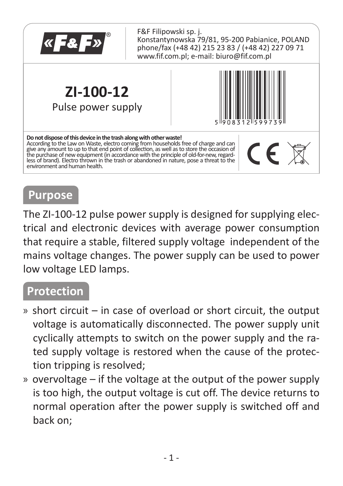

F&F Filipowski sp. j. Konstantynowska 79/81, 95-200 Pabianice, POLAND phone/fax (+48 42) 215 23 83 / (+48 42) 227 09 71 www.fif.com.pl; e-mail: biuro@fif.com.pl

**ZI-100-12** Pulse power supply



#### **Do not dispose of this device in the trash along with other waste!**  According to the Law on Waste, electro coming from households free of charge and can give any amount to up to that end point of collection, as well as to store the occasion of<br>the purchase of new equipment (in accordance with the principle of old-for-new, regardless of brand). Electro thrown in the trash or abandoned in nature, pose a threat to the environment and human health.

# $\mathsf{CE} \boxtimes$

### **Purpose**

The ZI-100-12 pulse power supply is designed for supplying electrical and electronic devices with average power consumption that require a stable, filtered supply voltage, independent of the mains voltage changes. The power supply can be used to power low voltage LED lamps.

#### **Protection**

- » short circuit in case of overload or short circuit, the output voltage is automatically disconnected. The power supply unit cyclically attempts to switch on the power supply and the rated supply voltage is restored when the cause of the protection tripping is resolved;
- » overvoltage if the voltage at the output of the power supply is too high, the output voltage is cut off. The device returns to normal operation after the power supply is switched off and back on;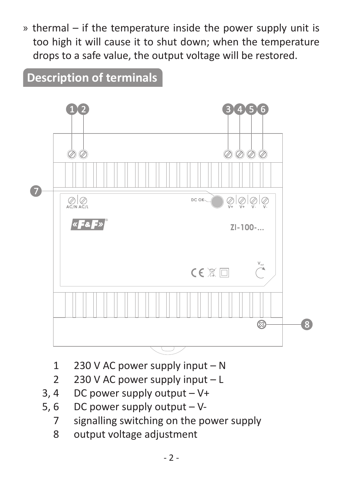» thermal – if the temperature inside the power supply unit is too high it will cause it to shut down; when the temperature drops to a safe value, the output voltage will be restored.

#### **Description of terminals**



- 1 230 V AC power supply input N
- 2 230 V AC power supply input L
- 3, 4 DC power supply output V+
- 5, 6 DC power supply output V-
	- 7 signalling switching on the power supply
	- 8 output voltage adjustment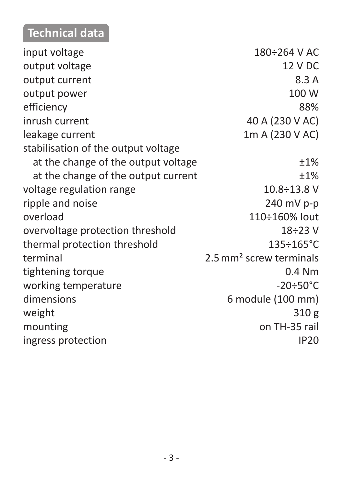## **Technical data**

| input voltage                       | 180÷264 V AC                        |
|-------------------------------------|-------------------------------------|
| output voltage                      | 12 V DC                             |
| output current                      | 8.3 A                               |
| output power                        | 100 W                               |
| efficiency                          | 88%                                 |
| inrush current                      | 40 A (230 V AC)                     |
| leakage current                     | 1m A (230 V AC)                     |
| stabilisation of the output voltage |                                     |
| at the change of the output voltage | ±1%                                 |
| at the change of the output current | ±1%                                 |
| voltage regulation range            | $10.8 \div 13.8$ V                  |
| ripple and noise                    | 240 mV p-p                          |
| overload                            | 110÷160% lout                       |
| overvoltage protection threshold    | $18 \div 23$ V                      |
| thermal protection threshold        | 135÷165°C                           |
| terminal                            | 2.5 mm <sup>2</sup> screw terminals |
| tightening torque                   | $0.4$ Nm                            |
| working temperature                 | $-20 \div 50^{\circ}$ C             |
| dimensions                          | 6 module (100 mm)                   |
| weight                              | 310 g                               |
| mounting                            | on TH-35 rail                       |
| ingress protection                  | <b>IP20</b>                         |